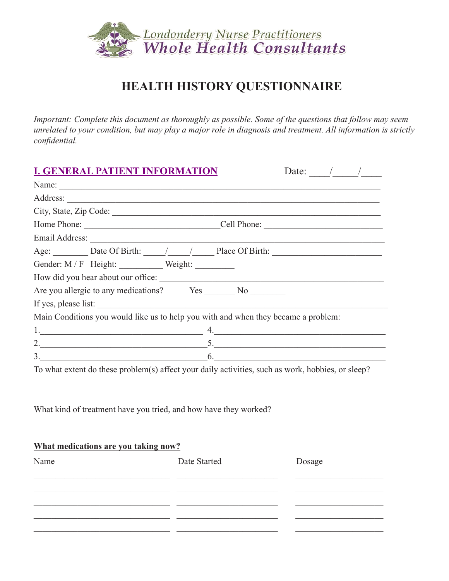

# **HEALTH HISTORY QUESTIONNAIRE**

*Important: Complete this document as thoroughly as possible. Some of the questions that follow may seem unrelated to your condition, but may play a major role in diagnosis and treatment. All information is strictly confidential.*

| <b>I. GENERAL PATIENT INFORMATION</b>                                                                                | Date: $/$ / |
|----------------------------------------------------------------------------------------------------------------------|-------------|
|                                                                                                                      |             |
|                                                                                                                      |             |
|                                                                                                                      |             |
|                                                                                                                      |             |
|                                                                                                                      |             |
| Age: Date Of Birth: ///// Place Of Birth:                                                                            |             |
| Gender: M/F Height: Weight:                                                                                          |             |
| How did you hear about our office:                                                                                   |             |
| Are you allergic to any medications? Yes No                                                                          |             |
| If yes, please list:                                                                                                 |             |
| Main Conditions you would like us to help you with and when they became a problem:                                   |             |
| <u> 1989 - Johann John Harry Harry Harry Harry Harry Harry Harry Harry Harry Harry Harry Harry Harry Harry Harry</u> | 4.          |
| 2.5                                                                                                                  |             |
| $\mathcal{E}$<br>$\overline{\phantom{a}}$ 6.                                                                         |             |

To what extent do these problem(s) affect your daily activities, such as work, hobbies, or sleep?

What kind of treatment have you tried, and how have they worked?

#### **What medications are you taking now?**

| Name | Date Started | Dosage |
|------|--------------|--------|
|      |              |        |
|      |              |        |
|      |              |        |
|      |              |        |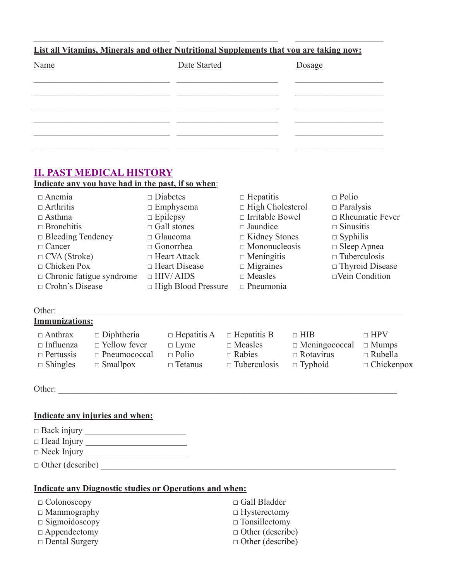### **List all Vitamins, Minerals and other Nutritional Supplements that you are taking now:**

 $\_$  , and the set of the set of the set of the set of the set of the set of the set of the set of the set of the set of the set of the set of the set of the set of the set of the set of the set of the set of the set of th

| Name | Date Started | Dosage |
|------|--------------|--------|
|      |              |        |
|      |              |        |
|      |              |        |
|      |              |        |
|      |              |        |

## **II. PAST MEDICAL HISTORY**

**Indicate any you have had in the past, if so when**:

| $\Box$ Anemia                   | $\Box$ Diabetes            | $\Box$ Hepatitis        | $\Box$ Polio           |
|---------------------------------|----------------------------|-------------------------|------------------------|
| $\Box$ Arthritis                | $\Box$ Emphysema           | $\Box$ High Cholesterol | $\Box$ Paralysis       |
| $\Box$ Asthma                   | $\Box$ Epilepsy            | $\Box$ Irritable Bowel  | $\Box$ Rheumatic Fever |
| $\Box$ Bronchitis               | $\Box$ Gall stones         | $\Box$ Jaundice         | $\Box$ Sinusitis       |
| $\Box$ Bleeding Tendency        | $\Box$ Glaucoma            | $\Box$ Kidney Stones    | $\Box$ Syphilis        |
| $\Box$ Cancer                   | $\Box$ Gonorrhea           | $\Box$ Mononucleosis    | $\Box$ Sleep Apnea     |
| $\Box$ CVA (Stroke)             | $\Box$ Heart Attack        | $\Box$ Meningitis       | $\Box$ Tuberculosis    |
| $\Box$ Chicken Pox              | $\Box$ Heart Disease       | $\Box$ Migraines        | $\Box$ Thyroid Disease |
| $\Box$ Chronic fatigue syndrome | $\Box$ HIV/AIDS            | $\Box$ Measles          | $\Box$ Vein Condition  |
| $\Box$ Crohn's Disease          | $\Box$ High Blood Pressure | $\Box$ Pneumonia        |                        |

## Other: \_\_\_\_\_\_\_\_\_\_\_\_\_\_\_\_\_\_\_\_\_\_\_\_\_\_\_\_\_\_\_\_\_\_\_\_\_\_\_\_\_\_\_\_\_\_\_\_\_\_\_\_\_\_\_\_\_\_\_\_\_\_\_\_\_\_\_\_\_\_\_\_\_\_\_\_\_\_

## **Immunizations:**

| $\Box$ Anthrax   | $\Box$ Diphtheria   | $\Box$ Hepatitis A | $\Box$ Hepatitis B  | $\Box$ HIB                        | $\Box$ HPV        |
|------------------|---------------------|--------------------|---------------------|-----------------------------------|-------------------|
| $\Box$ Influenza | $\Box$ Yellow fever | $\Box$ Lyme        | $\Box$ Measles      | $\Box$ Meningococcal $\Box$ Mumps |                   |
| $\Box$ Pertussis | $\Box$ Pneumococcal | $\Box$ Polio       | $\Box$ Rabies       | $\Box$ Rotavirus                  | $\Box$ Rubella    |
| $\Box$ Shingles  | $\Box$ Smallpox     | $\Box$ Tetanus     | $\Box$ Tuberculosis | $\Box$ Typhoid                    | $\Box$ Chickenpox |
|                  |                     |                    |                     |                                   |                   |

Other: \_\_\_\_\_\_\_\_\_\_\_\_\_\_\_\_\_\_\_\_\_\_\_\_\_\_\_\_\_\_\_\_\_\_\_\_\_\_\_\_\_\_\_\_\_\_\_\_\_\_\_\_\_\_\_\_\_\_\_\_\_\_\_\_\_\_\_\_\_\_\_\_\_\_\_\_\_

#### **Indicate any injuries and when:**

| $\Box$ Back injury      |  |
|-------------------------|--|
| $\Box$ Head Injury      |  |
| $\Box$ Neck Injury      |  |
| $\Box$ Other (describe) |  |

#### **Indicate any Diagnostic studies or Operations and when:**

| $\Box$ Colonoscopy    | $\Box$ Gall Bladder     |
|-----------------------|-------------------------|
| $\Box$ Mammography    | $\Box$ Hysterectomy     |
| $\Box$ Sigmoidoscopy  | $\Box$ Tonsillectomy    |
| $\Box$ Appendectomy   | $\Box$ Other (describe) |
| $\Box$ Dental Surgery | $\Box$ Other (describe) |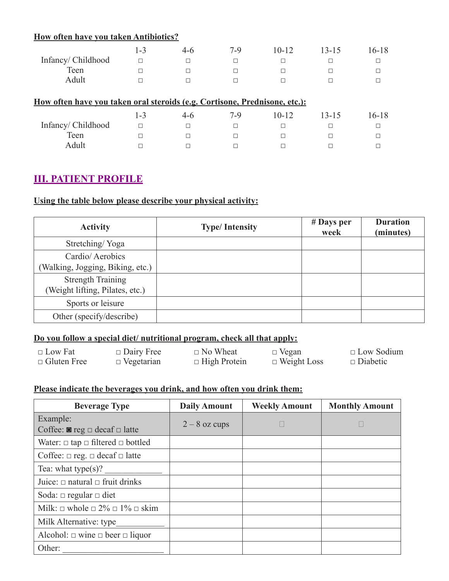## **How often have you taken Antibiotics?**

|                   | -3 | $4-6$ | $7-9$ | 10-12 | 13-15 | $16 - 18$ |
|-------------------|----|-------|-------|-------|-------|-----------|
| Infancy/Childhood |    |       |       |       |       |           |
| Teen              |    |       |       |       |       |           |
| Adult             |    |       |       |       |       |           |
|                   |    |       |       |       |       |           |

| <u>How often have vou taken oral steroids (e.g. Cortisone, Prednisone, etc.):</u> |     |       |     |           |       |           |
|-----------------------------------------------------------------------------------|-----|-------|-----|-----------|-------|-----------|
|                                                                                   | 1-3 | $4-6$ | 7-9 | $10 - 12$ | 13-15 | $16 - 18$ |
| Infancy/Childhood                                                                 |     |       |     |           |       |           |
| Teen                                                                              |     |       |     |           |       |           |
| Adult                                                                             |     |       |     |           |       |           |

## **III. PATIENT PROFILE**

### **Using the table below please describe your physical activity:**

| <b>Activity</b>                                             | <b>Type/Intensity</b> | $#$ Days per<br>week | <b>Duration</b><br>(minutes) |
|-------------------------------------------------------------|-----------------------|----------------------|------------------------------|
| Stretching/Yoga                                             |                       |                      |                              |
| Cardio/Aerobics<br>(Walking, Jogging, Biking, etc.)         |                       |                      |                              |
| <b>Strength Training</b><br>(Weight lifting, Pilates, etc.) |                       |                      |                              |
| Sports or leisure                                           |                       |                      |                              |
| Other (specify/describe)                                    |                       |                      |                              |

## **Do you follow a special diet/ nutritional program, check all that apply:**

| $\Box$ Low Fat     | $\Box$ Dairy Free | $\Box$ No Wheat     | $\Box$ Vegan       | $\Box$ Low Sodium |
|--------------------|-------------------|---------------------|--------------------|-------------------|
| $\Box$ Gluten Free | $\Box$ Vegetarian | $\Box$ High Protein | $\Box$ Weight Loss | $\Box$ Diabetic   |

## **Please indicate the beverages you drink, and how often you drink them:**

| <b>Beverage Type</b>                                 | <b>Daily Amount</b> | <b>Weekly Amount</b> | <b>Monthly Amount</b> |
|------------------------------------------------------|---------------------|----------------------|-----------------------|
| Example:                                             | $2 - 8$ oz cups     |                      |                       |
| Coffee: $\blacksquare$ reg $\Box$ decaf $\Box$ latte |                     |                      |                       |
| Water: $\Box$ tap $\Box$ filtered $\Box$ bottled     |                     |                      |                       |
| Coffee: $\Box$ reg. $\Box$ decaf $\Box$ latte        |                     |                      |                       |
| Tea: what type $(s)$ ?                               |                     |                      |                       |
| Juice: $\Box$ natural $\Box$ fruit drinks            |                     |                      |                       |
| Soda: $\Box$ regular $\Box$ diet                     |                     |                      |                       |
| Milk: $\Box$ whole $\Box$ 2% $\Box$ 1% $\Box$ skim   |                     |                      |                       |
| Milk Alternative: type                               |                     |                      |                       |
| Alcohol: $\Box$ wine $\Box$ beer $\Box$ liquor       |                     |                      |                       |
| Other:                                               |                     |                      |                       |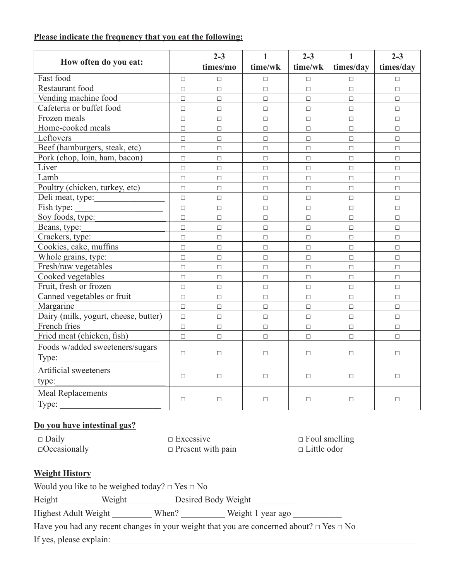#### **Please indicate the frequency that you eat the following:**

|                                      |        | $2 - 3$  | $\mathbf{1}$ | $2 - 3$ | $\mathbf{1}$ | $2 - 3$   |
|--------------------------------------|--------|----------|--------------|---------|--------------|-----------|
| How often do you eat:                |        | times/mo | time/wk      | time/wk | times/day    | times/day |
| Fast food                            | $\Box$ | $\Box$   | $\Box$       | $\Box$  | П            | $\Box$    |
| Restaurant food                      | $\Box$ | $\Box$   | $\Box$       | $\Box$  | $\Box$       | $\Box$    |
| Vending machine food                 | $\Box$ | $\Box$   | $\Box$       | $\Box$  | $\Box$       | $\Box$    |
| Cafeteria or buffet food             | $\Box$ | $\Box$   | $\Box$       | $\Box$  | $\Box$       | $\Box$    |
| Frozen meals                         | $\Box$ | $\Box$   | $\Box$       | $\Box$  | $\Box$       | $\Box$    |
| Home-cooked meals                    | $\Box$ | $\Box$   | $\Box$       | $\Box$  | $\Box$       | $\Box$    |
| Leftovers                            | $\Box$ | $\Box$   | $\Box$       | $\Box$  | $\Box$       | $\Box$    |
| Beef (hamburgers, steak, etc)        | $\Box$ | $\Box$   | $\Box$       | $\Box$  | $\Box$       | $\Box$    |
| Pork (chop, loin, ham, bacon)        | $\Box$ | $\Box$   | $\Box$       | $\Box$  | $\Box$       | $\Box$    |
| Liver                                | $\Box$ | $\Box$   | $\Box$       | $\Box$  | $\Box$       | $\Box$    |
| Lamb                                 | $\Box$ | $\Box$   | $\Box$       | $\Box$  | $\Box$       | $\Box$    |
| Poultry (chicken, turkey, etc)       | $\Box$ | $\Box$   | $\Box$       | $\Box$  | $\Box$       | $\Box$    |
| Deli meat, type:                     | $\Box$ | $\Box$   | $\Box$       | $\Box$  | $\Box$       | $\Box$    |
| Fish type:                           | $\Box$ | $\Box$   | $\Box$       | $\Box$  | $\Box$       | $\Box$    |
| Soy foods, type:                     | $\Box$ | $\Box$   | $\Box$       | $\Box$  | $\Box$       | $\Box$    |
| Beans, type:                         | $\Box$ | $\Box$   | $\Box$       | $\Box$  | $\Box$       | $\Box$    |
| Crackers, type:                      | $\Box$ | $\Box$   | $\Box$       | $\Box$  | $\Box$       | $\Box$    |
| Cookies, cake, muffins               | $\Box$ | $\Box$   | $\Box$       | $\Box$  | $\Box$       | $\Box$    |
| Whole grains, type:                  | $\Box$ | $\Box$   | $\Box$       | $\Box$  | $\Box$       | $\Box$    |
| Fresh/raw vegetables                 | $\Box$ | $\Box$   | $\Box$       | $\Box$  | $\Box$       | $\Box$    |
| Cooked vegetables                    | $\Box$ | $\Box$   | $\Box$       | $\Box$  | $\Box$       | $\Box$    |
| Fruit, fresh or frozen               | $\Box$ | $\Box$   | $\Box$       | $\Box$  | $\Box$       | $\Box$    |
| Canned vegetables or fruit           | $\Box$ | $\Box$   | $\Box$       | $\Box$  | $\Box$       | $\Box$    |
| Margarine                            | $\Box$ | $\Box$   | $\Box$       | $\Box$  | $\Box$       | $\Box$    |
| Dairy (milk, yogurt, cheese, butter) | $\Box$ | $\Box$   | $\Box$       | $\Box$  | $\Box$       | $\Box$    |
| French fries                         | $\Box$ | $\Box$   | $\Box$       | $\Box$  | $\Box$       | $\Box$    |
| Fried meat (chicken, fish)           | $\Box$ | $\Box$   | $\Box$       | $\Box$  | $\Box$       | $\Box$    |
| Foods w/added sweeteners/sugars      |        |          |              |         |              |           |
| Type:                                | $\Box$ | $\Box$   | $\Box$       | $\Box$  | $\Box$       | $\Box$    |
| Artificial sweeteners                |        |          |              |         |              |           |
| type:                                | $\Box$ | $\Box$   | $\Box$       | $\Box$  | $\Box$       | $\Box$    |
| <b>Meal Replacements</b><br>Type:    | $\Box$ | $\Box$   | $\Box$       | $\Box$  | $\Box$       | $\Box$    |

#### **Do you have intestinal gas?**

□ Daily □ Excessive □ Foul smelling □Occasionally □ Present with pain □ Little odor

## **Weight History**

| Would you like to be weighed today? $\Box$ Yes $\Box$ No |  |
|----------------------------------------------------------|--|
|----------------------------------------------------------|--|

Height \_\_\_\_\_\_\_\_\_\_ Weight \_\_\_\_\_\_\_\_\_\_ Desired Body Weight \_\_\_\_\_\_\_\_\_\_\_

Highest Adult Weight \_\_\_\_\_\_\_\_\_ When? \_\_\_\_\_\_\_\_\_ Weight 1 year ago \_\_\_\_\_\_\_\_\_\_\_\_\_\_\_

Have you had any recent changes in your weight that you are concerned about?  $\Box$  Yes  $\Box$  No If yes, please explain: \_\_\_\_\_\_\_\_\_\_\_\_\_\_\_\_\_\_\_\_\_\_\_\_\_\_\_\_\_\_\_\_\_\_\_\_\_\_\_\_\_\_\_\_\_\_\_\_\_\_\_\_\_\_\_\_\_\_\_\_\_\_\_\_\_\_\_\_\_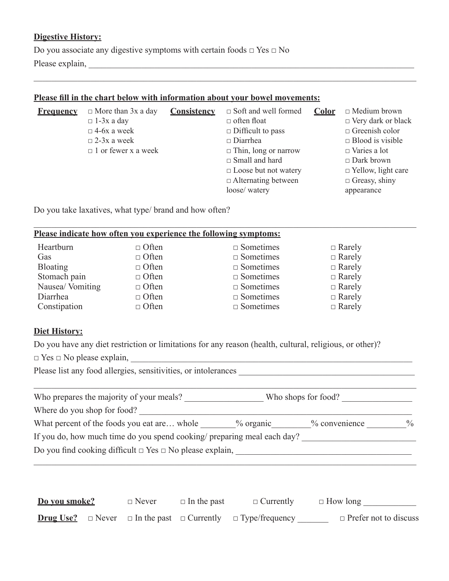#### **Digestive History:**

Do you associate any digestive symptoms with certain foods  $\Box$  Yes  $\Box$  No Please explain, \_\_\_\_\_\_\_\_\_\_\_\_\_\_\_\_\_\_\_\_\_\_\_\_\_\_\_\_\_\_\_\_\_\_\_\_\_\_\_\_\_\_\_\_\_\_\_\_\_\_\_\_\_\_\_\_\_\_\_\_\_\_\_\_\_\_\_\_\_\_\_\_\_\_

## **Please fill in the chart below with information about your bowel movements:**

| <b>Frequency</b> | $\Box$ More than 3x a day<br>$\Box$ 1-3x a day<br>$\Box$ 4-6x a week<br>$\Box$ 2-3x a week<br>$\Box$ 1 or fewer x a week | Consistency | $\Box$ Soft and well formed<br>$\Box$ often float<br>$\Box$ Difficult to pass<br>$\Box$ Diarrhea<br>$\Box$ Thin, long or narrow<br>$\Box$ Small and hard<br>$\Box$ Loose but not watery<br>$\Box$ Alternating between | Color | $\Box$ Medium brown<br>$\Box$ Very dark or black<br>$\Box$ Greenish color<br>$\Box$ Blood is visible<br>$\Box$ Varies a lot<br>$\Box$ Dark brown<br>$\Box$ Yellow, light care<br>$\Box$ Greasy, shiny |
|------------------|--------------------------------------------------------------------------------------------------------------------------|-------------|-----------------------------------------------------------------------------------------------------------------------------------------------------------------------------------------------------------------------|-------|-------------------------------------------------------------------------------------------------------------------------------------------------------------------------------------------------------|
|                  |                                                                                                                          |             | loose/ watery                                                                                                                                                                                                         |       | appearance                                                                                                                                                                                            |

 $\_$  , and the set of the set of the set of the set of the set of the set of the set of the set of the set of the set of the set of the set of the set of the set of the set of the set of the set of the set of the set of th

 $\_$  , and the set of the set of the set of the set of the set of the set of the set of the set of the set of the set of the set of the set of the set of the set of the set of the set of the set of the set of the set of th

Do you take laxatives, what type/ brand and how often?

| Please indicate how often you experience the following symptoms: |              |                     |               |  |  |  |  |
|------------------------------------------------------------------|--------------|---------------------|---------------|--|--|--|--|
| Heartburn                                                        | $\Box$ Often | $\square$ Sometimes | $\Box$ Rarely |  |  |  |  |
| Gas                                                              | $\Box$ Often | $\square$ Sometimes | $\Box$ Rarely |  |  |  |  |
| <b>Bloating</b>                                                  | $\Box$ Often | $\square$ Sometimes | $\Box$ Rarely |  |  |  |  |
| Stomach pain                                                     | $\Box$ Often | $\square$ Sometimes | $\Box$ Rarely |  |  |  |  |
| Nausea/Vomiting                                                  | $\Box$ Often | $\square$ Sometimes | $\Box$ Rarely |  |  |  |  |
| Diarrhea                                                         | $\Box$ Often | $\square$ Sometimes | $\Box$ Rarely |  |  |  |  |
| Constipation                                                     | $\Box$ Often | $\Box$ Sometimes    | $\Box$ Rarely |  |  |  |  |

#### **Diet History:**

Do you have any diet restriction or limitations for any reason (health, cultural, religious, or other)?

|  |  |  | $\Box$ Yes $\Box$ No please explain, |
|--|--|--|--------------------------------------|
|  |  |  |                                      |

Please list any food allergies, sensitivities, or intolerances \_\_\_\_\_\_\_\_\_\_\_\_\_\_\_\_\_\_\_\_\_\_\_\_\_\_\_\_\_\_\_\_\_\_\_\_\_\_\_\_

| Who prepares the majority of your meals?                                | Who shops for food? |                 |               |
|-------------------------------------------------------------------------|---------------------|-----------------|---------------|
| Where do you shop for food?                                             |                     |                 |               |
| What percent of the foods you eat are whole                             | $\%$ organic        | $%$ convenience | $\frac{0}{0}$ |
| If you do, how much time do you spend cooking/ preparing meal each day? |                     |                 |               |
| Do you find cooking difficult $\Box$ Yes $\Box$ No please explain,      |                     |                 |               |

□ Yes □ No please explain, \_\_\_\_\_\_\_\_\_\_\_\_\_\_\_\_\_\_\_\_\_\_\_\_\_\_\_\_\_\_\_\_\_\_\_\_\_\_\_\_\_\_\_\_\_\_\_\_\_\_\_\_\_\_\_\_\_\_\_\_\_\_\_\_

| Do you smoke? | $\Box$ Never | $\Box$ In the past | $\Box$ Currently                                                                        | $\Box$ How long              |
|---------------|--------------|--------------------|-----------------------------------------------------------------------------------------|------------------------------|
|               |              |                    | <b>Drug Use?</b> $\Box$ Never $\Box$ In the past $\Box$ Currently $\Box$ Type/frequency | $\Box$ Prefer not to discuss |